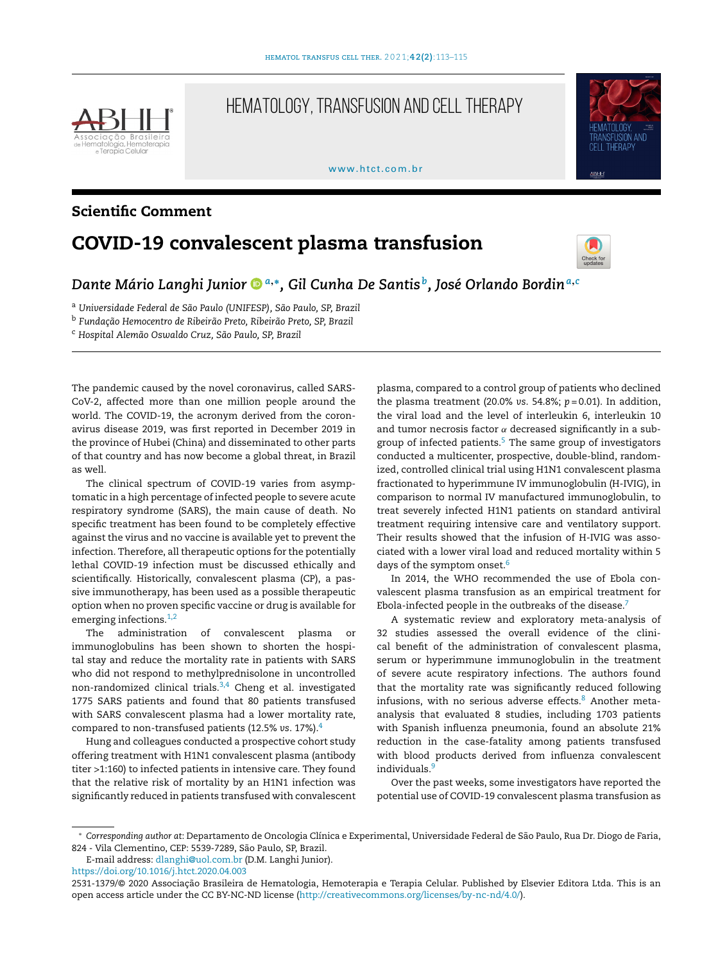

# HEMATOLOGY, TRANSFUSION AND CELL THERAPY

www.htct.com.hr



## Scientific Comment

# COVID-19 convalescent plasma transfusion



## *Dante Mário Langhi Junio[r](https://orcid.org/0000-0002-4642-8091) <sup>a</sup>*,<sup>∗</sup> *, Gil Cunha De Santis <sup>b</sup> , José Orlando Bordin<sup>a</sup>*,*<sup>c</sup>*

<sup>a</sup> *Universidade Federal de São Paulo (UNIFESP), São Paulo, SP, Brazil*

<sup>b</sup> *Fundac¸ão Hemocentro de Ribeirão Preto, Ribeirão Preto, SP, Brazil*

<sup>c</sup> *Hospital Alemão Oswaldo Cruz, São Paulo, SP, Brazil*

The pandemic caused by the novel coronavirus, called SARS-CoV-2, affected more than one million people around the world. The COVID-19, the acronym derived from the coronavirus disease 2019, was first reported in December 2019 in the province of Hubei (China) and disseminated to other parts of that country and has now become a global threat, in Brazil as well.

The clinical spectrum of COVID-19 varies from asymptomatic in a high percentage of infected people to severe acute respiratory syndrome (SARS), the main cause of death. No specific treatment has been found to be completely effective against the virus and no vaccine is available yet to prevent the infection. Therefore, all therapeutic options for the potentially lethal COVID-19 infection must be discussed ethically and scientifically. Historically, convalescent plasma (CP), a passive immunotherapy, has been used as a possible therapeutic option when no proven specific vaccine or drug is available for emerging infections.<sup>[1,2](#page-2-0)</sup>

The administration of convalescent plasma or immunoglobulins has been shown to shorten the hospital stay and reduce the mortality rate in patients with SARS who did not respond to methylprednisolone in uncontrolled non-randomized clinical trials. $3,4$  Cheng et al. investigated 1775 SARS patients and found that 80 patients transfused with SARS convalescent plasma had a lower mortality rate, compared to non-transfused patients (12.5% *vs*. 17%).[4](#page-2-0)

Hung and colleagues conducted a prospective cohort study offering treatment with H1N1 convalescent plasma (antibody titer >1:160) to infected patients in intensive care. They found that the relative risk of mortality by an H1N1 infection was significantly reduced in patients transfused with convalescent

plasma, compared to a control group of patients who declined the plasma treatment (20.0% *vs*. 54.8%; *p* = 0.01). In addition, the viral load and the level of interleukin 6, interleukin 10 and tumor necrosis factor  $\alpha$  decreased significantly in a subgroup of infected patients. $5$  The same group of investigators conducted a multicenter, prospective, double-blind, randomized, controlled clinical trial using H1N1 convalescent plasma fractionated to hyperimmune IV immunoglobulin (H-IVIG), in comparison to normal IV manufactured immunoglobulin, to treat severely infected H1N1 patients on standard antiviral treatment requiring intensive care and ventilatory support. Their results showed that the infusion of H-IVIG was associated with a lower viral load and reduced mortality within 5 days of the symptom onset.<sup>[6](#page-2-0)</sup>

In 2014, the WHO recommended the use of Ebola convalescent plasma transfusion as an empirical treatment for Ebola-infected people in the outbreaks of the disease.<sup>[7](#page-2-0)</sup>

A systematic review and exploratory meta-analysis of 32 studies assessed the overall evidence of the clinical benefit of the administration of convalescent plasma, serum or hyperimmune immunoglobulin in the treatment of severe acute respiratory infections. The authors found that the mortality rate was significantly reduced following infusions, with no serious adverse effects.<sup>[8](#page-2-0)</sup> Another metaanalysis that evaluated 8 studies, including 1703 patients with Spanish influenza pneumonia, found an absolute 21% reduction in the case-fatality among patients transfused with blood products derived from influenza convalescent individuals.<sup>[9](#page-2-0)</sup>

Over the past weeks, some investigators have reported the potential use of COVID-19 convalescent plasma transfusion as

<https://doi.org/10.1016/j.htct.2020.04.003>

<sup>∗</sup> *Corresponding author at*: Departamento de Oncologia Clínica e Experimental, Universidade Federal de São Paulo, Rua Dr. Diogo de Faria, 824 - Vila Clementino, CEP: 5539-7289, São Paulo, SP, Brazil.

E-mail address: [dlanghi@uol.com.br](mailto:dlanghi@uol.com.br) (D.M. Langhi Junior).

<sup>2531-1379/© 2020</sup> Associação Brasileira de Hematologia, Hemoterapia e Terapia Celular. Published by Elsevier Editora Ltda. This is an open access article under the CC BY-NC-ND license ([http://creativecommons.org/licenses/by-nc-nd/4.0/\)](http://creativecommons.org/licenses/by-nc-nd/4.0/).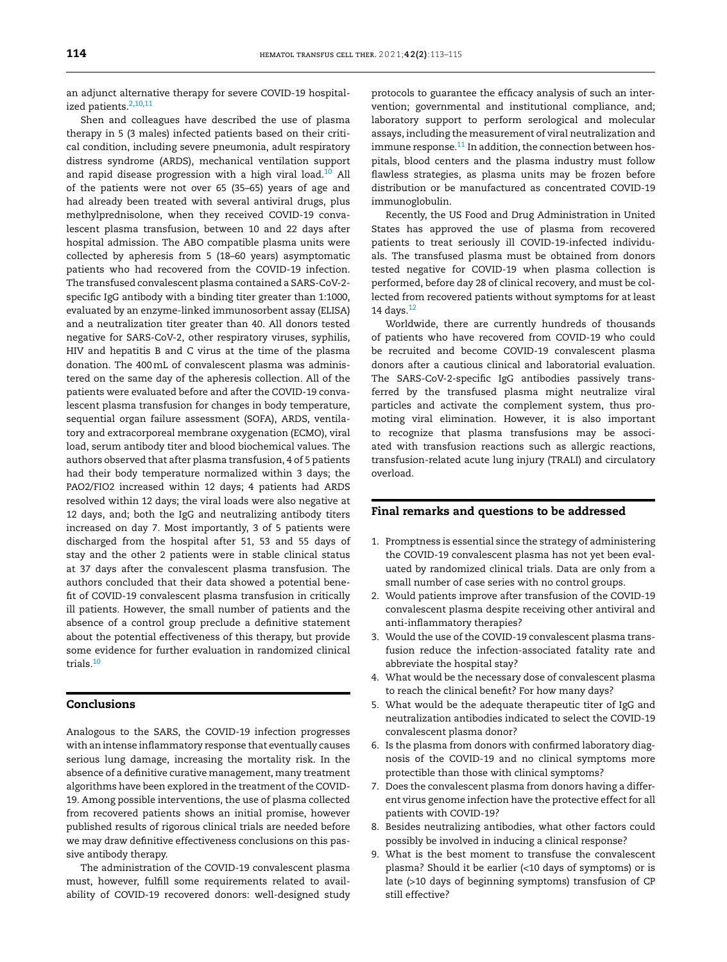an adjunct alternative therapy for severe COVID-19 hospital-ized patients.<sup>[2,10,11](#page-2-0)</sup>

Shen and colleagues have described the use of plasma therapy in 5 (3 males) infected patients based on their critical condition, including severe pneumonia, adult respiratory distress syndrome (ARDS), mechanical ventilation support and rapid disease progression with a high viral load. $10$  All of the patients were not over 65 (35–65) years of age and had already been treated with several antiviral drugs, plus methylprednisolone, when they received COVID-19 convalescent plasma transfusion, between 10 and 22 days after hospital admission. The ABO compatible plasma units were collected by apheresis from 5 (18–60 years) asymptomatic patients who had recovered from the COVID-19 infection. The transfused convalescent plasma contained a SARS-CoV-2 specific IgG antibody with a binding titer greater than 1:1000, evaluated by an enzyme-linked immunosorbent assay (ELISA) and a neutralization titer greater than 40. All donors tested negative for SARS-CoV-2, other respiratory viruses, syphilis, HIV and hepatitis B and C virus at the time of the plasma donation. The 400mL of convalescent plasma was administered on the same day of the apheresis collection. All of the patients were evaluated before and after the COVID-19 convalescent plasma transfusion for changes in body temperature, sequential organ failure assessment (SOFA), ARDS, ventilatory and extracorporeal membrane oxygenation (ECMO), viral load, serum antibody titer and blood biochemical values. The authors observed that after plasma transfusion, 4 of 5 patients had their body temperature normalized within 3 days; the PAO2/FIO2 increased within 12 days; 4 patients had ARDS resolved within 12 days; the viral loads were also negative at 12 days, and; both the IgG and neutralizing antibody titers increased on day 7. Most importantly, 3 of 5 patients were discharged from the hospital after 51, 53 and 55 days of stay and the other 2 patients were in stable clinical status at 37 days after the convalescent plasma transfusion. The authors concluded that their data showed a potential benefit of COVID-19 convalescent plasma transfusion in critically ill patients. However, the small number of patients and the absence of a control group preclude a definitive statement about the potential effectiveness of this therapy, but provide some evidence for further evaluation in randomized clinical trials.[10](#page-2-0)

### Conclusions

Analogous to the SARS, the COVID-19 infection progresses with an intense inflammatory response that eventually causes serious lung damage, increasing the mortality risk. In the absence of a definitive curative management, many treatment algorithms have been explored in the treatment of the COVID-19. Among possible interventions, the use of plasma collected from recovered patients shows an initial promise, however published results of rigorous clinical trials are needed before we may draw definitive effectiveness conclusions on this passive antibody therapy.

The administration of the COVID-19 convalescent plasma must, however, fulfill some requirements related to availability of COVID-19 recovered donors: well-designed study protocols to guarantee the efficacy analysis of such an intervention; governmental and institutional compliance, and; laboratory support to perform serological and molecular assays, including the measurement of viral neutralization and immune response. $11$  In addition, the connection between hospitals, blood centers and the plasma industry must follow flawless strategies, as plasma units may be frozen before distribution or be manufactured as concentrated COVID-19 immunoglobulin.

Recently, the US Food and Drug Administration in United States has approved the use of plasma from recovered patients to treat seriously ill COVID-19-infected individuals. The transfused plasma must be obtained from donors tested negative for COVID-19 when plasma collection is performed, before day 28 of clinical recovery, and must be collected from recovered patients without symptoms for at least 14 days. $12$ 

Worldwide, there are currently hundreds of thousands of patients who have recovered from COVID-19 who could be recruited and become COVID-19 convalescent plasma donors after a cautious clinical and laboratorial evaluation. The SARS-CoV-2-specific IgG antibodies passively transferred by the transfused plasma might neutralize viral particles and activate the complement system, thus promoting viral elimination. However, it is also important to recognize that plasma transfusions may be associated with transfusion reactions such as allergic reactions, transfusion-related acute lung injury (TRALI) and circulatory overload.

#### Final remarks and questions to be addressed

- 1. Promptness is essential since the strategy of administering the COVID-19 convalescent plasma has not yet been evaluated by randomized clinical trials. Data are only from a small number of case series with no control groups.
- 2. Would patients improve after transfusion of the COVID-19 convalescent plasma despite receiving other antiviral and anti-inflammatory therapies?
- 3. Would the use of the COVID-19 convalescent plasma transfusion reduce the infection-associated fatality rate and abbreviate the hospital stay?
- 4. What would be the necessary dose of convalescent plasma to reach the clinical benefit? For how many days?
- 5. What would be the adequate therapeutic titer of IgG and neutralization antibodies indicated to select the COVID-19 convalescent plasma donor?
- 6. Is the plasma from donors with confirmed laboratory diagnosis of the COVID-19 and no clinical symptoms more protectible than those with clinical symptoms?
- 7. Does the convalescent plasma from donors having a different virus genome infection have the protective effect for all patients with COVID-19?
- 8. Besides neutralizing antibodies, what other factors could possibly be involved in inducing a clinical response?
- 9. What is the best moment to transfuse the convalescent plasma? Should it be earlier (<10 days of symptoms) or is late (>10 days of beginning symptoms) transfusion of CP still effective?